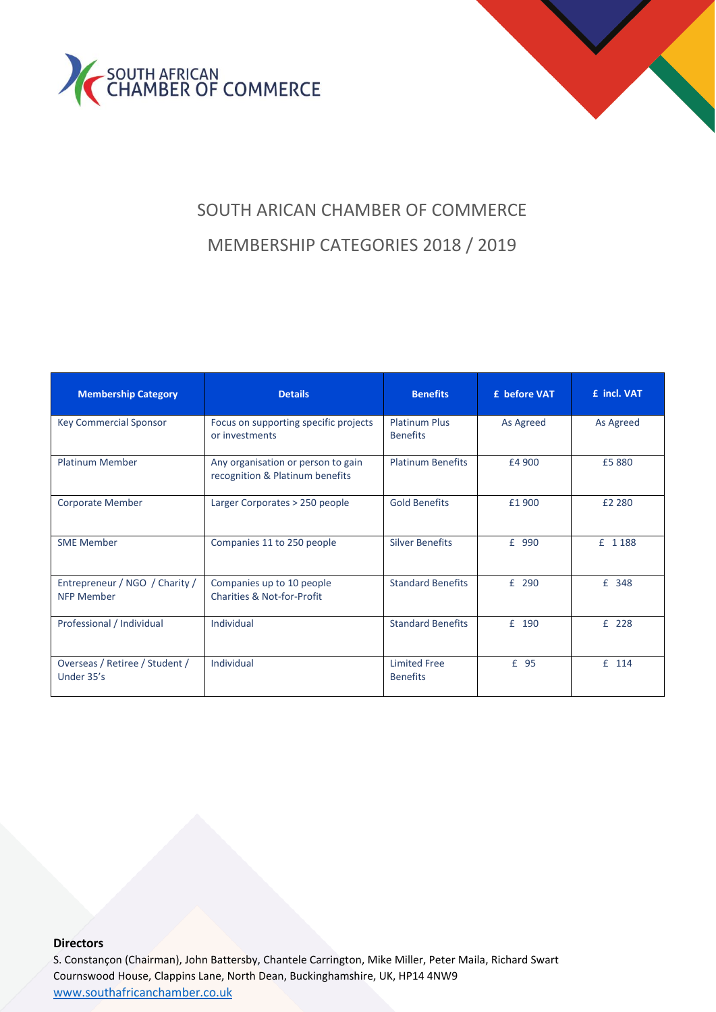



# SOUTH ARICAN CHAMBER OF COMMERCE MEMBERSHIP CATEGORIES 2018 / 2019

| <b>Membership Category</b>                          | <b>Details</b>                                                        | <b>Benefits</b>                         | £ before VAT | £ incl. VAT |
|-----------------------------------------------------|-----------------------------------------------------------------------|-----------------------------------------|--------------|-------------|
| <b>Key Commercial Sponsor</b>                       | Focus on supporting specific projects<br>or investments               | <b>Platinum Plus</b><br><b>Benefits</b> | As Agreed    | As Agreed   |
| <b>Platinum Member</b>                              | Any organisation or person to gain<br>recognition & Platinum benefits | <b>Platinum Benefits</b>                | £4 900       | £5 880      |
| <b>Corporate Member</b>                             | Larger Corporates > 250 people                                        | <b>Gold Benefits</b>                    | £1 900       | £2 280      |
| <b>SME Member</b>                                   | Companies 11 to 250 people                                            | <b>Silver Benefits</b>                  | £ 990        | £ 1188      |
| Entrepreneur / NGO / Charity /<br><b>NFP Member</b> | Companies up to 10 people<br>Charities & Not-for-Profit               | <b>Standard Benefits</b>                | £ 290        | £ 348       |
| Professional / Individual                           | Individual                                                            | <b>Standard Benefits</b>                | £ 190        | £ 228       |
| Overseas / Retiree / Student /<br>Under 35's        | Individual                                                            | <b>Limited Free</b><br><b>Benefits</b>  | £ 95         | £ 114       |

#### **Directors**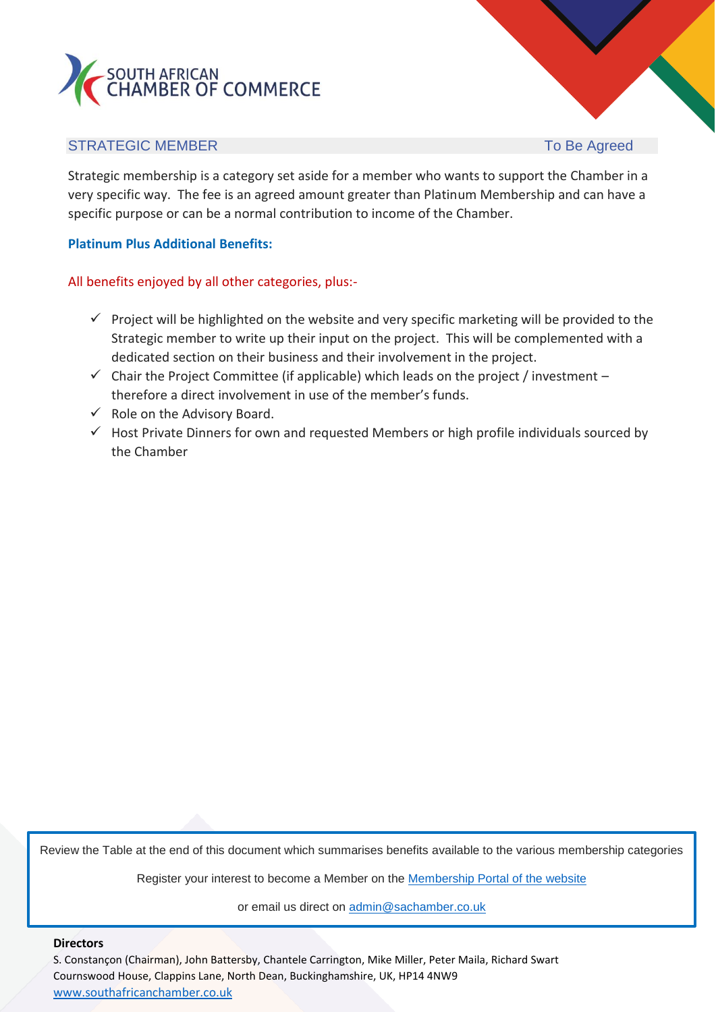

### STRATEGIC MEMBER TO Be Agreed

Strategic membership is a category set aside for a member who wants to support the Chamber in a very specific way. The fee is an agreed amount greater than Platinum Membership and can have a specific purpose or can be a normal contribution to income of the Chamber.

#### **Platinum Plus Additional Benefits:**

All benefits enjoyed by all other categories, plus:-

- $\checkmark$  Project will be highlighted on the website and very specific marketing will be provided to the Strategic member to write up their input on the project. This will be complemented with a dedicated section on their business and their involvement in the project.
- $\checkmark$  Chair the Project Committee (if applicable) which leads on the project / investment therefore a direct involvement in use of the member's funds.
- $\checkmark$  Role on the Advisory Board.
- $\checkmark$  Host Private Dinners for own and requested Members or high profile individuals sourced by the Chamber

Review the Table at the end of this document which summarises benefits available to the various membership categories

Register your interest to become a Member on the [Membership Portal of the website](https://southafricanchamber.co.uk/memberships/)

or email us direct on [admin@sachamber.co.uk](mailto:admin@sachamber.co.uk)

#### **Directors**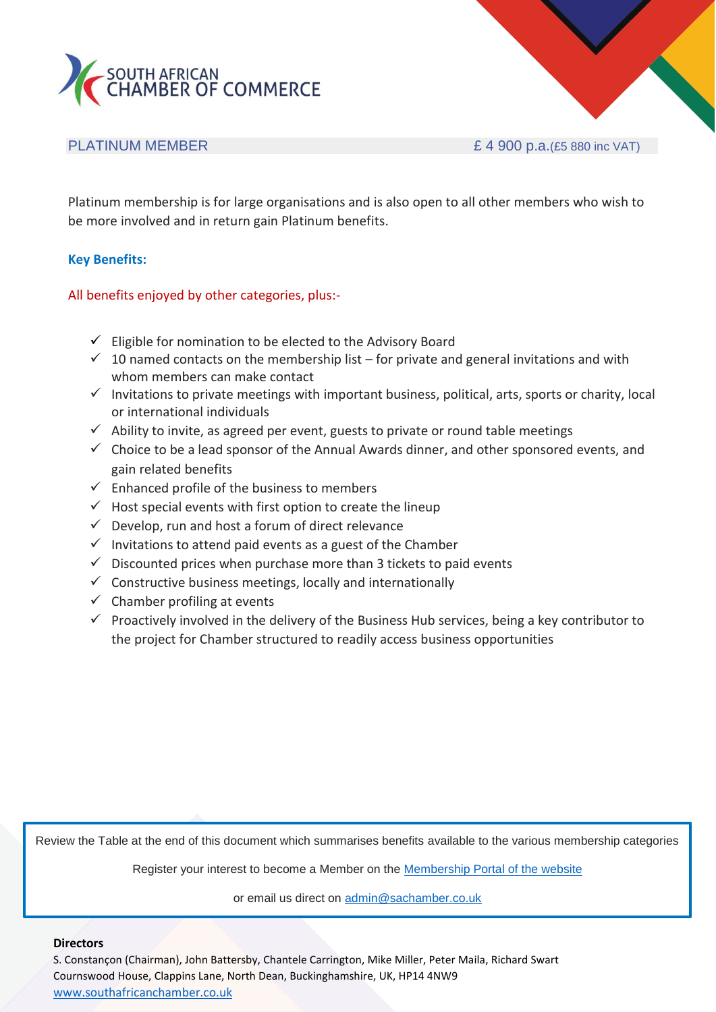

PLATINUM MEMBER  $E$  4 900 p.a.(£5 880 inc VAT)

Platinum membership is for large organisations and is also open to all other members who wish to be more involved and in return gain Platinum benefits.

#### **Key Benefits:**

#### All benefits enjoyed by other categories, plus:-

- $\checkmark$  Eligible for nomination to be elected to the Advisory Board
- $\checkmark$  10 named contacts on the membership list for private and general invitations and with whom members can make contact
- $\checkmark$  Invitations to private meetings with important business, political, arts, sports or charity, local or international individuals
- $\checkmark$  Ability to invite, as agreed per event, guests to private or round table meetings
- $\checkmark$  Choice to be a lead sponsor of the Annual Awards dinner, and other sponsored events, and gain related benefits
- $\checkmark$  Enhanced profile of the business to members
- $\checkmark$  Host special events with first option to create the lineup
- $\checkmark$  Develop, run and host a forum of direct relevance
- $\checkmark$  Invitations to attend paid events as a guest of the Chamber
- $\checkmark$  Discounted prices when purchase more than 3 tickets to paid events
- $\checkmark$  Constructive business meetings, locally and internationally
- $\checkmark$  Chamber profiling at events
- $\checkmark$  Proactively involved in the delivery of the Business Hub services, being a key contributor to the project for Chamber structured to readily access business opportunities

Review the Table at the end of this document which summarises benefits available to the various membership categories

Register your interest to become a Member on the **Membership Portal of the website** 

or email us direct on [admin@sachamber.co.uk](mailto:admin@sachamber.co.uk)

#### **Directors**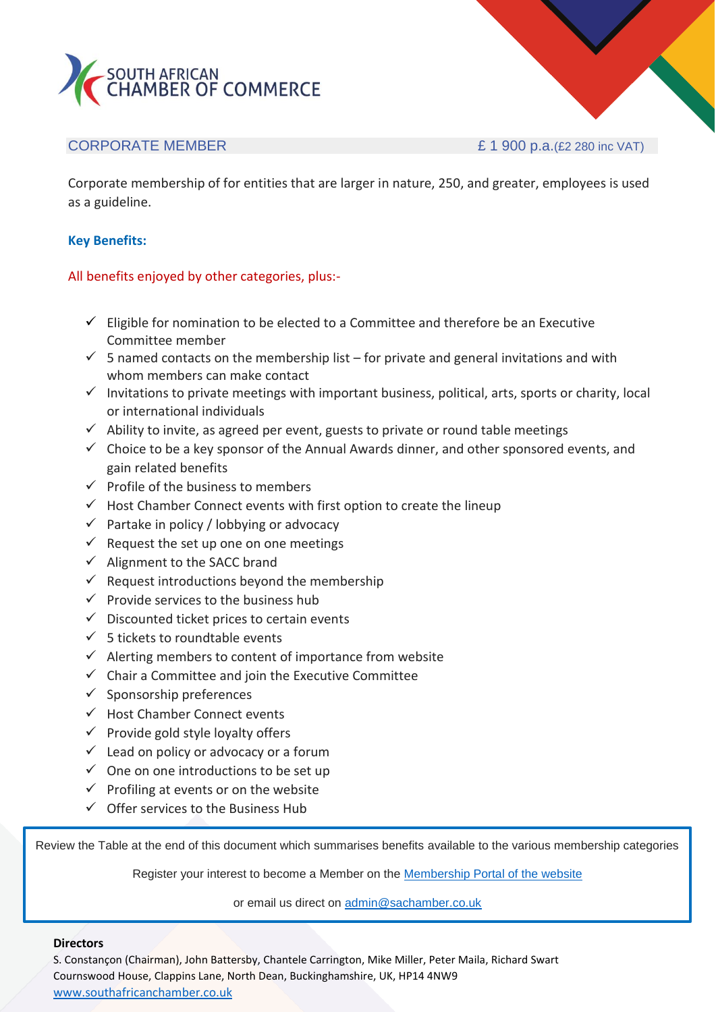

CORPORATE MEMBER  $E$  1 900 p.a.(£2 280 inc VAT)

Corporate membership of for entities that are larger in nature, 250, and greater, employees is used as a guideline.

#### **Key Benefits:**

#### All benefits enjoyed by other categories, plus:-

- $\checkmark$  Eligible for nomination to be elected to a Committee and therefore be an Executive Committee member
- $\checkmark$  5 named contacts on the membership list for private and general invitations and with whom members can make contact
- $\checkmark$  Invitations to private meetings with important business, political, arts, sports or charity, local or international individuals
- $\checkmark$  Ability to invite, as agreed per event, guests to private or round table meetings
- $\checkmark$  Choice to be a key sponsor of the Annual Awards dinner, and other sponsored events, and gain related benefits
- $\checkmark$  Profile of the business to members
- $\checkmark$  Host Chamber Connect events with first option to create the lineup
- $\checkmark$  Partake in policy / lobbying or advocacy
- $\checkmark$  Request the set up one on one meetings
- $\checkmark$  Alignment to the SACC brand
- $\checkmark$  Request introductions beyond the membership
- $\checkmark$  Provide services to the business hub
- $\checkmark$  Discounted ticket prices to certain events
- $\checkmark$  5 tickets to roundtable events
- $\checkmark$  Alerting members to content of importance from website
- $\checkmark$  Chair a Committee and join the Executive Committee
- $\checkmark$  Sponsorship preferences
- ✓ Host Chamber Connect events
- $\checkmark$  Provide gold style lovalty offers
- $\checkmark$  Lead on policy or advocacy or a forum
- $\checkmark$  One on one introductions to be set up
- $\checkmark$  Profiling at events or on the website
- $\checkmark$  Offer services to the Business Hub

Review the Table at the end of this document which summarises benefits available to the various membership categories

Register your interest to become a Member on the [Membership Portal of the website](https://southafricanchamber.co.uk/memberships/)

or email us direct on [admin@sachamber.co.uk](mailto:admin@sachamber.co.uk)

#### **Directors**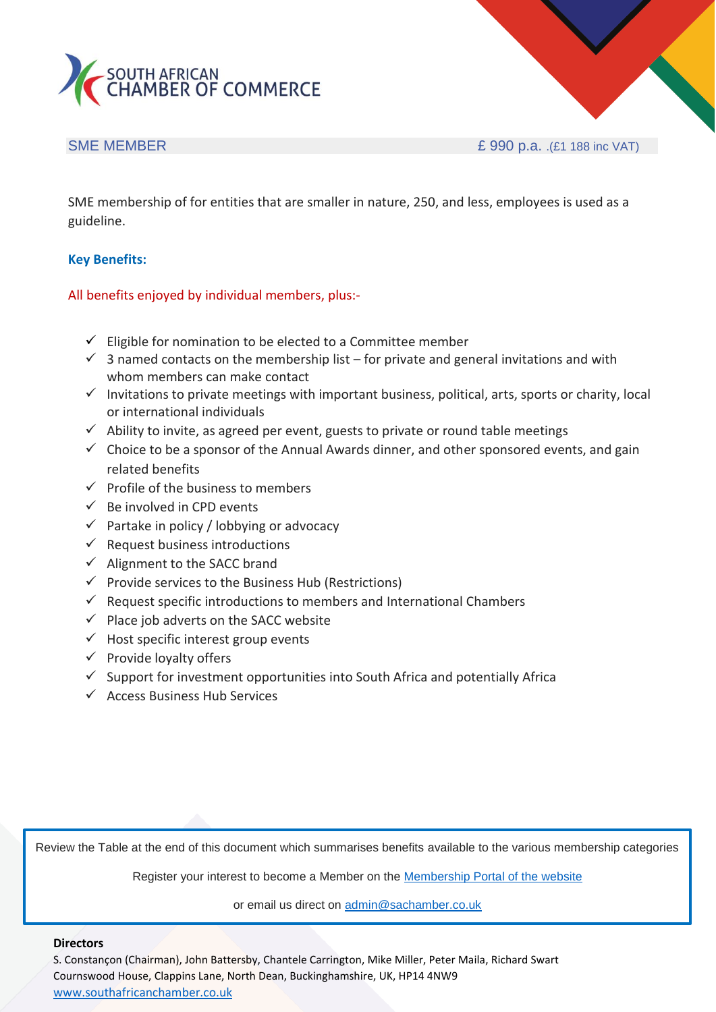

SME MEMBER **E 990 p.a.** .(£1 188 inc VAT)

SME membership of for entities that are smaller in nature, 250, and less, employees is used as a guideline.

#### **Key Benefits:**

#### All benefits enjoyed by individual members, plus:-

- $\checkmark$  Eligible for nomination to be elected to a Committee member
- $\checkmark$  3 named contacts on the membership list for private and general invitations and with whom members can make contact
- $\checkmark$  Invitations to private meetings with important business, political, arts, sports or charity, local or international individuals
- $\checkmark$  Ability to invite, as agreed per event, guests to private or round table meetings
- $\checkmark$  Choice to be a sponsor of the Annual Awards dinner, and other sponsored events, and gain related benefits
- $\checkmark$  Profile of the business to members
- $\checkmark$  Be involved in CPD events
- $\checkmark$  Partake in policy / lobbying or advocacy
- $\checkmark$  Request business introductions
- $\checkmark$  Alignment to the SACC brand
- $\checkmark$  Provide services to the Business Hub (Restrictions)
- $\checkmark$  Request specific introductions to members and International Chambers
- $\checkmark$  Place job adverts on the SACC website
- $\checkmark$  Host specific interest group events
- $\checkmark$  Provide loyalty offers
- $\checkmark$  Support for investment opportunities into South Africa and potentially Africa
- ✓ Access Business Hub Services

Review the Table at the end of this document which summarises benefits available to the various membership categories

Register your interest to become a Member on the [Membership Portal of the website](https://southafricanchamber.co.uk/memberships/)

or email us direct on [admin@sachamber.co.uk](mailto:admin@sachamber.co.uk)

#### **Directors**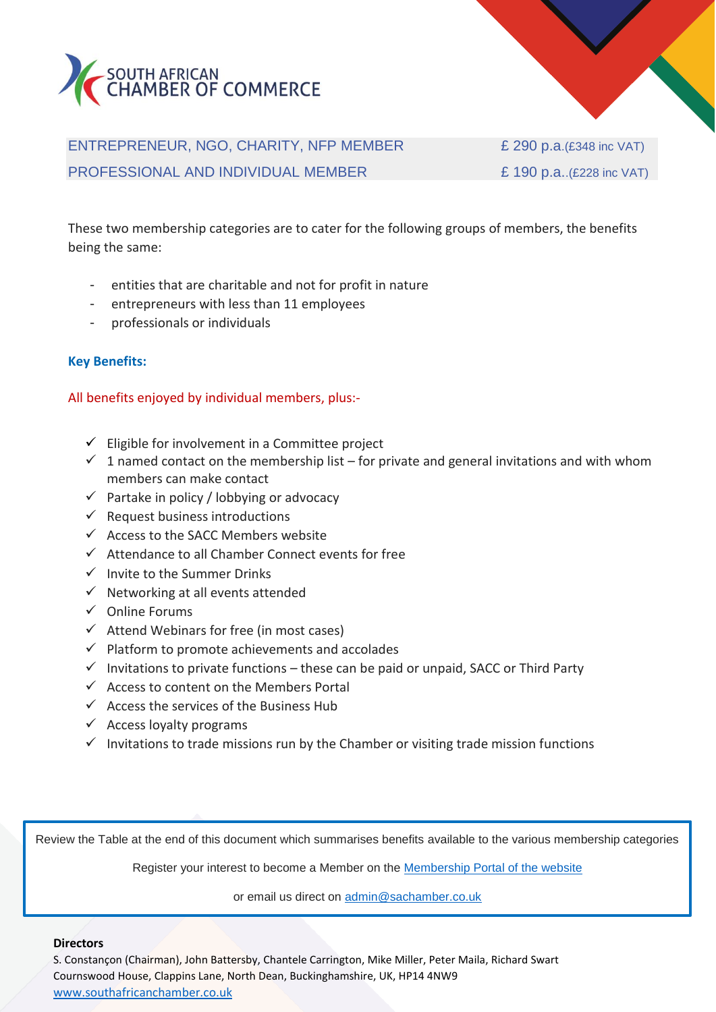



ENTREPRENEUR, NGO, CHARITY, NFP MEMBER E 290 p.a. (£348 inc VAT) PROFESSIONAL AND INDIVIDUAL MEMBER  $\qquad \qquad \qquad$  £ 190 p.a..(£228 inc VAT)

These two membership categories are to cater for the following groups of members, the benefits being the same:

- entities that are charitable and not for profit in nature
- entrepreneurs with less than 11 employees
- professionals or individuals

#### **Key Benefits:**

#### All benefits enjoyed by individual members, plus:-

- $\checkmark$  Eligible for involvement in a Committee project
- $\checkmark$  1 named contact on the membership list for private and general invitations and with whom members can make contact
- $\checkmark$  Partake in policy / lobbying or advocacy
- $\checkmark$  Request business introductions
- $\checkmark$  Access to the SACC Members website
- ✓ Attendance to all Chamber Connect events for free
- ✓ Invite to the Summer Drinks
- $\checkmark$  Networking at all events attended
- ✓ Online Forums
- $\checkmark$  Attend Webinars for free (in most cases)
- $\checkmark$  Platform to promote achievements and accolades
- $\checkmark$  Invitations to private functions these can be paid or unpaid, SACC or Third Party
- $\checkmark$  Access to content on the Members Portal
- $\checkmark$  Access the services of the Business Hub
- $\checkmark$  Access loyalty programs
- $\checkmark$  Invitations to trade missions run by the Chamber or visiting trade mission functions

Review the Table at the end of this document which summarises benefits available to the various membership categories

Register your interest to become a Member on the [Membership Portal of the website](https://southafricanchamber.co.uk/memberships/)

or email us direct on [admin@sachamber.co.uk](mailto:admin@sachamber.co.uk)

#### **Directors**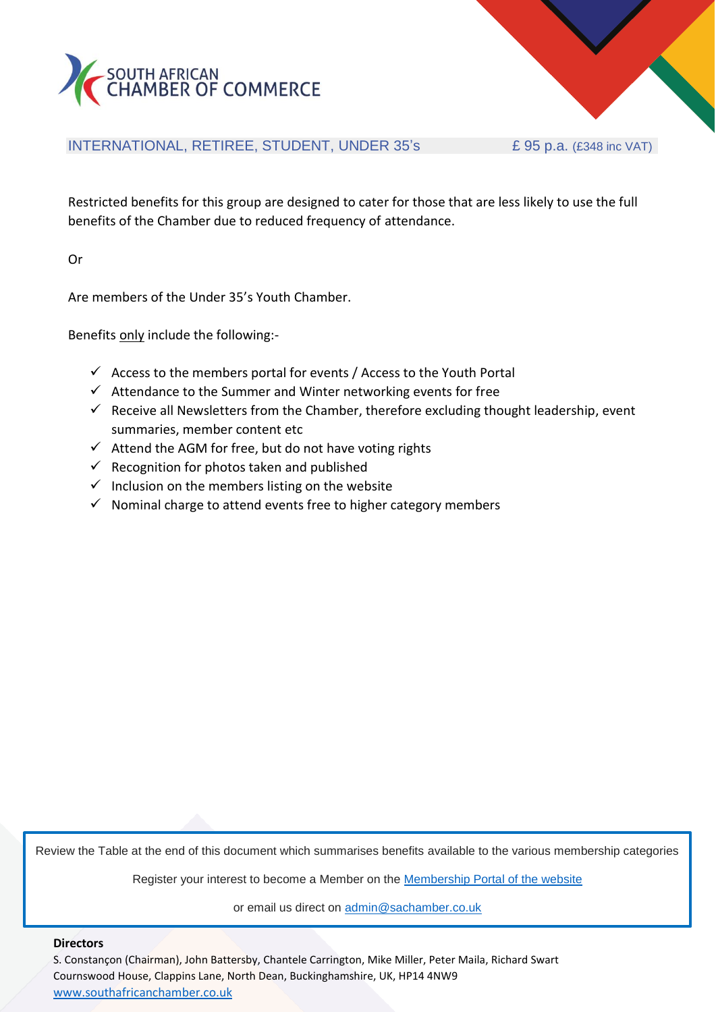



### INTERNATIONAL, RETIREE, STUDENT, UNDER 35's  $£ 95 p.a. (£348 inc VAT)$

Restricted benefits for this group are designed to cater for those that are less likely to use the full benefits of the Chamber due to reduced frequency of attendance.

Or

Are members of the Under 35's Youth Chamber.

Benefits only include the following:-

- $\checkmark$  Access to the members portal for events / Access to the Youth Portal
- $\checkmark$  Attendance to the Summer and Winter networking events for free
- $\checkmark$  Receive all Newsletters from the Chamber, therefore excluding thought leadership, event summaries, member content etc
- $\checkmark$  Attend the AGM for free, but do not have voting rights
- $\checkmark$  Recognition for photos taken and published
- $\checkmark$  Inclusion on the members listing on the website
- $\checkmark$  Nominal charge to attend events free to higher category members

Review the Table at the end of this document which summarises benefits available to the various membership categories

Register your interest to become a Member on the [Membership Portal of the website](https://southafricanchamber.co.uk/memberships/)

or email us direct on [admin@sachamber.co.uk](mailto:admin@sachamber.co.uk)

#### **Directors**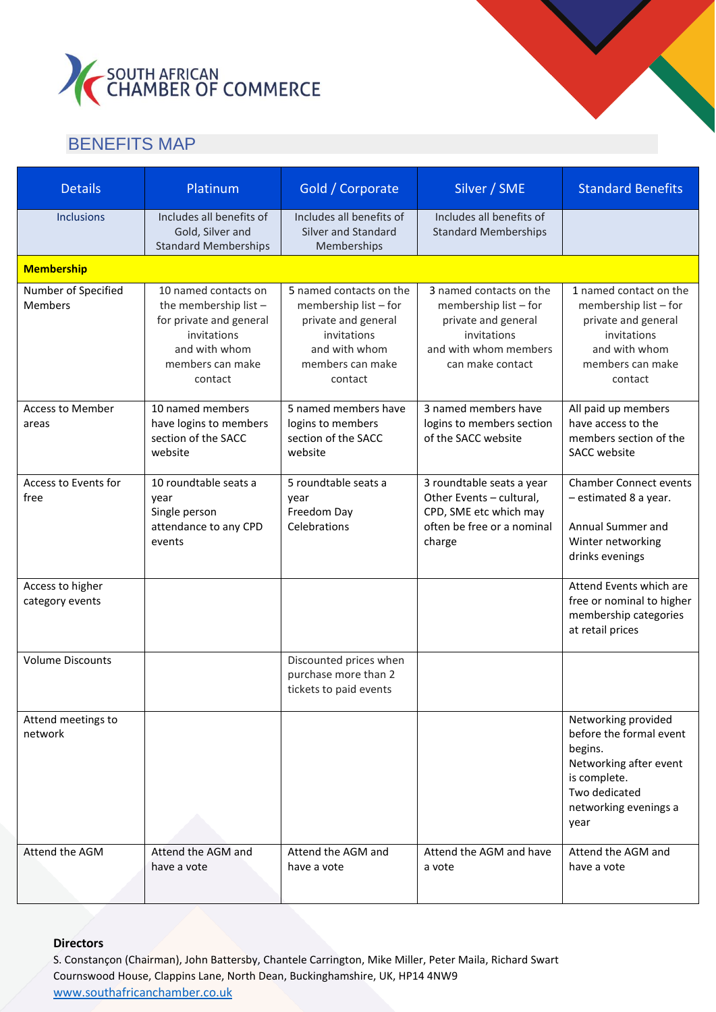

## BENEFITS MAP

| <b>Details</b>                        | Platinum                                                                                                                                | Gold / Corporate                                                                                                                       | Silver / SME                                                                                                                        | <b>Standard Benefits</b>                                                                                                                              |
|---------------------------------------|-----------------------------------------------------------------------------------------------------------------------------------------|----------------------------------------------------------------------------------------------------------------------------------------|-------------------------------------------------------------------------------------------------------------------------------------|-------------------------------------------------------------------------------------------------------------------------------------------------------|
| <b>Inclusions</b>                     | Includes all benefits of<br>Gold, Silver and<br><b>Standard Memberships</b>                                                             | Includes all benefits of<br>Silver and Standard<br>Memberships                                                                         | Includes all benefits of<br><b>Standard Memberships</b>                                                                             |                                                                                                                                                       |
| <b>Membership</b>                     |                                                                                                                                         |                                                                                                                                        |                                                                                                                                     |                                                                                                                                                       |
| Number of Specified<br><b>Members</b> | 10 named contacts on<br>the membership list -<br>for private and general<br>invitations<br>and with whom<br>members can make<br>contact | 5 named contacts on the<br>membership list - for<br>private and general<br>invitations<br>and with whom<br>members can make<br>contact | 3 named contacts on the<br>membership list - for<br>private and general<br>invitations<br>and with whom members<br>can make contact | 1 named contact on the<br>membership list - for<br>private and general<br>invitations<br>and with whom<br>members can make<br>contact                 |
| <b>Access to Member</b><br>areas      | 10 named members<br>have logins to members<br>section of the SACC<br>website                                                            | 5 named members have<br>logins to members<br>section of the SACC<br>website                                                            | 3 named members have<br>logins to members section<br>of the SACC website                                                            | All paid up members<br>have access to the<br>members section of the<br><b>SACC</b> website                                                            |
| Access to Events for<br>free          | 10 roundtable seats a<br>year<br>Single person<br>attendance to any CPD<br>events                                                       | 5 roundtable seats a<br>year<br>Freedom Day<br>Celebrations                                                                            | 3 roundtable seats a year<br>Other Events - cultural,<br>CPD, SME etc which may<br>often be free or a nominal<br>charge             | <b>Chamber Connect events</b><br>- estimated 8 a year.<br>Annual Summer and<br>Winter networking<br>drinks evenings                                   |
| Access to higher<br>category events   |                                                                                                                                         |                                                                                                                                        |                                                                                                                                     | Attend Events which are<br>free or nominal to higher<br>membership categories<br>at retail prices                                                     |
| <b>Volume Discounts</b>               |                                                                                                                                         | Discounted prices when<br>purchase more than 2<br>tickets to paid events                                                               |                                                                                                                                     |                                                                                                                                                       |
| Attend meetings to<br>network         |                                                                                                                                         |                                                                                                                                        |                                                                                                                                     | Networking provided<br>before the formal event<br>begins.<br>Networking after event<br>is complete.<br>Two dedicated<br>networking evenings a<br>year |
| Attend the AGM                        | Attend the AGM and<br>have a vote                                                                                                       | Attend the AGM and<br>have a vote                                                                                                      | Attend the AGM and have<br>a vote                                                                                                   | Attend the AGM and<br>have a vote                                                                                                                     |

#### **Directors**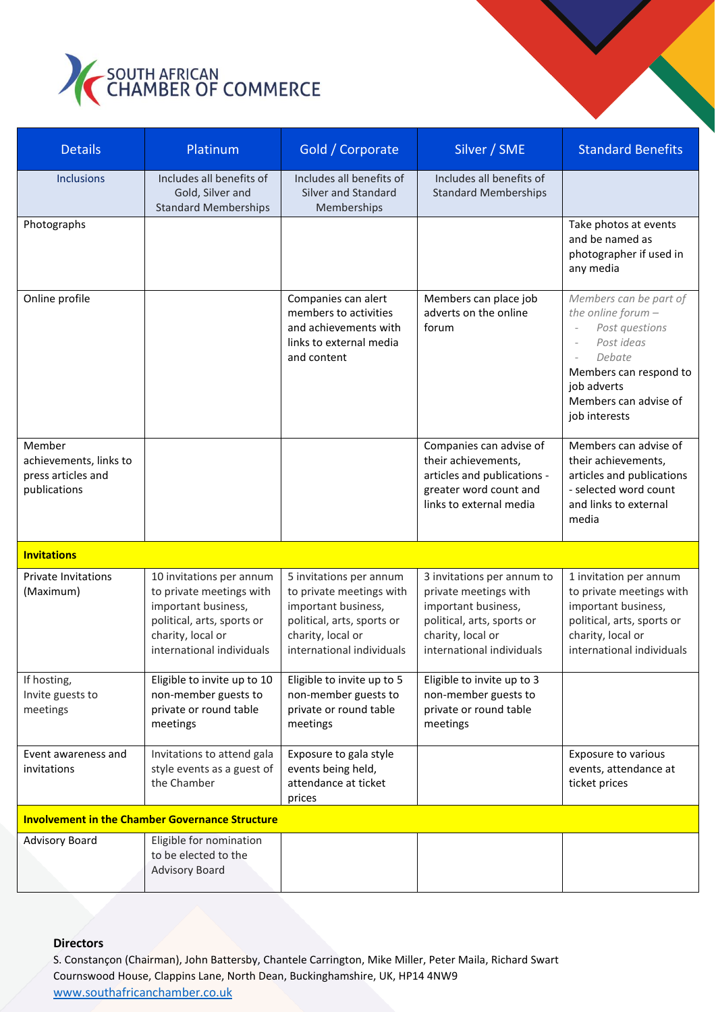

| <b>Details</b>                                                         | Platinum                                                                                                                                                    | Gold / Corporate                                                                                                                                           | Silver / SME                                                                                                                                               | <b>Standard Benefits</b>                                                                                                                                                                                                            |
|------------------------------------------------------------------------|-------------------------------------------------------------------------------------------------------------------------------------------------------------|------------------------------------------------------------------------------------------------------------------------------------------------------------|------------------------------------------------------------------------------------------------------------------------------------------------------------|-------------------------------------------------------------------------------------------------------------------------------------------------------------------------------------------------------------------------------------|
| <b>Inclusions</b>                                                      | Includes all benefits of<br>Gold, Silver and<br><b>Standard Memberships</b>                                                                                 | Includes all benefits of<br>Silver and Standard<br>Memberships                                                                                             | Includes all benefits of<br><b>Standard Memberships</b>                                                                                                    |                                                                                                                                                                                                                                     |
| Photographs                                                            |                                                                                                                                                             |                                                                                                                                                            |                                                                                                                                                            | Take photos at events<br>and be named as<br>photographer if used in<br>any media                                                                                                                                                    |
| Online profile                                                         |                                                                                                                                                             | Companies can alert<br>members to activities<br>and achievements with<br>links to external media<br>and content                                            | Members can place job<br>adverts on the online<br>forum                                                                                                    | Members can be part of<br>the online forum $-$<br>Post questions<br>$\overline{\phantom{a}}$<br>Post ideas<br>$\overline{\phantom{a}}$<br>Debate<br>Members can respond to<br>job adverts<br>Members can advise of<br>job interests |
| Member<br>achievements, links to<br>press articles and<br>publications |                                                                                                                                                             |                                                                                                                                                            | Companies can advise of<br>their achievements,<br>articles and publications -<br>greater word count and<br>links to external media                         | Members can advise of<br>their achievements,<br>articles and publications<br>- selected word count<br>and links to external<br>media                                                                                                |
| <b>Invitations</b>                                                     |                                                                                                                                                             |                                                                                                                                                            |                                                                                                                                                            |                                                                                                                                                                                                                                     |
| <b>Private Invitations</b><br>(Maximum)                                | 10 invitations per annum<br>to private meetings with<br>important business,<br>political, arts, sports or<br>charity, local or<br>international individuals | 5 invitations per annum<br>to private meetings with<br>important business,<br>political, arts, sports or<br>charity, local or<br>international individuals | 3 invitations per annum to<br>private meetings with<br>important business,<br>political, arts, sports or<br>charity, local or<br>international individuals | 1 invitation per annum<br>to private meetings with<br>important business,<br>political, arts, sports or<br>charity, local or<br>international individuals                                                                           |
| If hosting,<br>Invite guests to<br>meetings                            | Eligible to invite up to 10<br>non-member guests to<br>private or round table<br>meetings                                                                   | Eligible to invite up to 5<br>non-member guests to<br>private or round table<br>meetings                                                                   | Eligible to invite up to 3<br>non-member guests to<br>private or round table<br>meetings                                                                   |                                                                                                                                                                                                                                     |
| Event awareness and<br>invitations                                     | Invitations to attend gala<br>style events as a guest of<br>the Chamber                                                                                     | Exposure to gala style<br>events being held,<br>attendance at ticket<br>prices                                                                             |                                                                                                                                                            | Exposure to various<br>events, attendance at<br>ticket prices                                                                                                                                                                       |
| <b>Involvement in the Chamber Governance Structure</b>                 |                                                                                                                                                             |                                                                                                                                                            |                                                                                                                                                            |                                                                                                                                                                                                                                     |
| <b>Advisory Board</b>                                                  | Eligible for nomination<br>to be elected to the<br><b>Advisory Board</b>                                                                                    |                                                                                                                                                            |                                                                                                                                                            |                                                                                                                                                                                                                                     |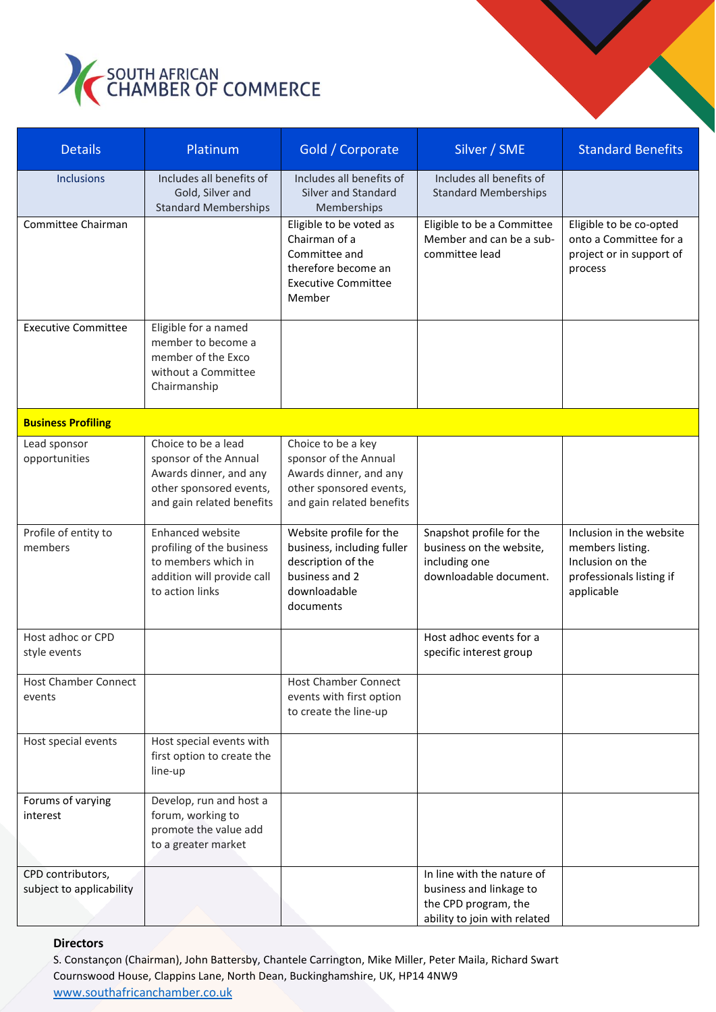

| <b>Details</b>                                | Platinum                                                                                                                       | Gold / Corporate                                                                                                              | Silver / SME                                                                                                  | <b>Standard Benefits</b>                                                                                   |
|-----------------------------------------------|--------------------------------------------------------------------------------------------------------------------------------|-------------------------------------------------------------------------------------------------------------------------------|---------------------------------------------------------------------------------------------------------------|------------------------------------------------------------------------------------------------------------|
| <b>Inclusions</b>                             | Includes all benefits of<br>Gold, Silver and<br><b>Standard Memberships</b>                                                    | Includes all benefits of<br>Silver and Standard<br>Memberships                                                                | Includes all benefits of<br><b>Standard Memberships</b>                                                       |                                                                                                            |
| Committee Chairman                            |                                                                                                                                | Eligible to be voted as<br>Chairman of a<br>Committee and<br>therefore become an<br><b>Executive Committee</b><br>Member      | Eligible to be a Committee<br>Member and can be a sub-<br>committee lead                                      | Eligible to be co-opted<br>onto a Committee for a<br>project or in support of<br>process                   |
| <b>Executive Committee</b>                    | Eligible for a named<br>member to become a<br>member of the Exco<br>without a Committee<br>Chairmanship                        |                                                                                                                               |                                                                                                               |                                                                                                            |
| <b>Business Profiling</b>                     |                                                                                                                                |                                                                                                                               |                                                                                                               |                                                                                                            |
| Lead sponsor<br>opportunities                 | Choice to be a lead<br>sponsor of the Annual<br>Awards dinner, and any<br>other sponsored events,<br>and gain related benefits | Choice to be a key<br>sponsor of the Annual<br>Awards dinner, and any<br>other sponsored events,<br>and gain related benefits |                                                                                                               |                                                                                                            |
| Profile of entity to<br>members               | <b>Enhanced website</b><br>profiling of the business<br>to members which in<br>addition will provide call<br>to action links   | Website profile for the<br>business, including fuller<br>description of the<br>business and 2<br>downloadable<br>documents    | Snapshot profile for the<br>business on the website,<br>including one<br>downloadable document.               | Inclusion in the website<br>members listing.<br>Inclusion on the<br>professionals listing if<br>applicable |
| Host adhoc or CPD<br>style events             |                                                                                                                                |                                                                                                                               | Host adhoc events for a<br>specific interest group                                                            |                                                                                                            |
| <b>Host Chamber Connect</b><br>events         |                                                                                                                                | <b>Host Chamber Connect</b><br>events with first option<br>to create the line-up                                              |                                                                                                               |                                                                                                            |
| Host special events                           | Host special events with<br>first option to create the<br>line-up                                                              |                                                                                                                               |                                                                                                               |                                                                                                            |
| Forums of varying<br>interest                 | Develop, run and host a<br>forum, working to<br>promote the value add<br>to a greater market                                   |                                                                                                                               |                                                                                                               |                                                                                                            |
| CPD contributors,<br>subject to applicability |                                                                                                                                |                                                                                                                               | In line with the nature of<br>business and linkage to<br>the CPD program, the<br>ability to join with related |                                                                                                            |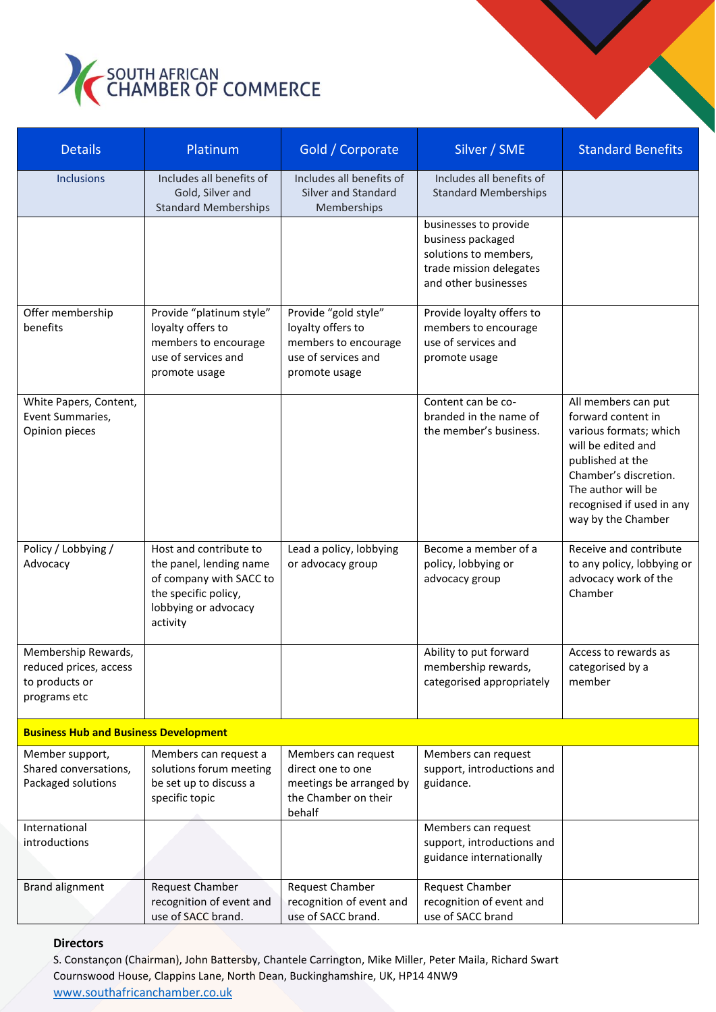

| <b>Details</b>                                                                  | Platinum                                                                                                                                 | Gold / Corporate                                                                                          | Silver / SME                                                                                                           | <b>Standard Benefits</b>                                                                                                                                                                                        |  |
|---------------------------------------------------------------------------------|------------------------------------------------------------------------------------------------------------------------------------------|-----------------------------------------------------------------------------------------------------------|------------------------------------------------------------------------------------------------------------------------|-----------------------------------------------------------------------------------------------------------------------------------------------------------------------------------------------------------------|--|
| <b>Inclusions</b>                                                               | Includes all benefits of<br>Gold, Silver and<br><b>Standard Memberships</b>                                                              | Includes all benefits of<br>Silver and Standard<br>Memberships                                            | Includes all benefits of<br><b>Standard Memberships</b>                                                                |                                                                                                                                                                                                                 |  |
|                                                                                 |                                                                                                                                          |                                                                                                           | businesses to provide<br>business packaged<br>solutions to members,<br>trade mission delegates<br>and other businesses |                                                                                                                                                                                                                 |  |
| Offer membership<br>benefits                                                    | Provide "platinum style"<br>loyalty offers to<br>members to encourage<br>use of services and<br>promote usage                            | Provide "gold style"<br>loyalty offers to<br>members to encourage<br>use of services and<br>promote usage | Provide loyalty offers to<br>members to encourage<br>use of services and<br>promote usage                              |                                                                                                                                                                                                                 |  |
| White Papers, Content,<br>Event Summaries,<br>Opinion pieces                    |                                                                                                                                          |                                                                                                           | Content can be co-<br>branded in the name of<br>the member's business.                                                 | All members can put<br>forward content in<br>various formats; which<br>will be edited and<br>published at the<br>Chamber's discretion.<br>The author will be<br>recognised if used in any<br>way by the Chamber |  |
| Policy / Lobbying /<br>Advocacy                                                 | Host and contribute to<br>the panel, lending name<br>of company with SACC to<br>the specific policy,<br>lobbying or advocacy<br>activity | Lead a policy, lobbying<br>or advocacy group                                                              | Become a member of a<br>policy, lobbying or<br>advocacy group                                                          | Receive and contribute<br>to any policy, lobbying or<br>advocacy work of the<br>Chamber                                                                                                                         |  |
| Membership Rewards,<br>reduced prices, access<br>to products or<br>programs etc |                                                                                                                                          |                                                                                                           | Ability to put forward<br>membership rewards,<br>categorised appropriately                                             | Access to rewards as<br>categorised by a<br>member                                                                                                                                                              |  |
| <b>Business Hub and Business Development</b>                                    |                                                                                                                                          |                                                                                                           |                                                                                                                        |                                                                                                                                                                                                                 |  |
| Member support,<br>Shared conversations,<br>Packaged solutions                  | Members can request a<br>solutions forum meeting<br>be set up to discuss a<br>specific topic                                             | Members can request<br>direct one to one<br>meetings be arranged by<br>the Chamber on their<br>behalf     | Members can request<br>support, introductions and<br>guidance.                                                         |                                                                                                                                                                                                                 |  |
| International<br>introductions                                                  |                                                                                                                                          |                                                                                                           | Members can request<br>support, introductions and<br>guidance internationally                                          |                                                                                                                                                                                                                 |  |
| <b>Brand alignment</b>                                                          | Request Chamber<br>recognition of event and<br>use of SACC brand.                                                                        | Request Chamber<br>recognition of event and<br>use of SACC brand.                                         | <b>Request Chamber</b><br>recognition of event and<br>use of SACC brand                                                |                                                                                                                                                                                                                 |  |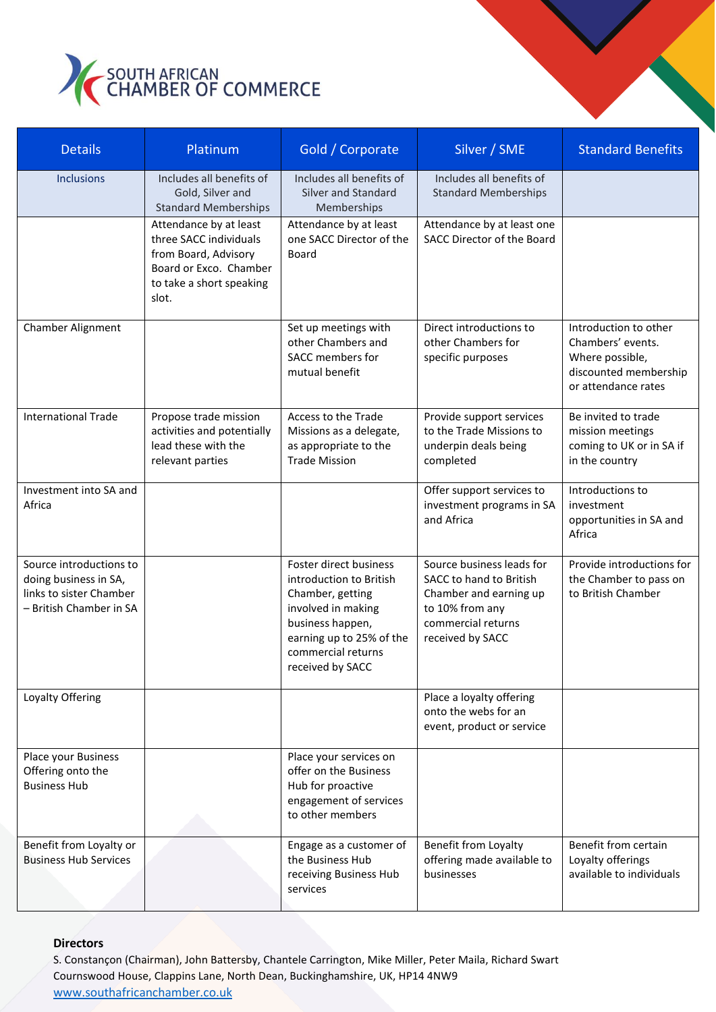

| <b>Details</b>                                                                                         | Platinum                                                                                                                                | Gold / Corporate                                                                                                                                                                      | Silver / SME                                                                                                                                | <b>Standard Benefits</b>                                                                                      |
|--------------------------------------------------------------------------------------------------------|-----------------------------------------------------------------------------------------------------------------------------------------|---------------------------------------------------------------------------------------------------------------------------------------------------------------------------------------|---------------------------------------------------------------------------------------------------------------------------------------------|---------------------------------------------------------------------------------------------------------------|
| <b>Inclusions</b>                                                                                      | Includes all benefits of<br>Gold, Silver and<br><b>Standard Memberships</b>                                                             | Includes all benefits of<br>Silver and Standard<br>Memberships                                                                                                                        | Includes all benefits of<br><b>Standard Memberships</b>                                                                                     |                                                                                                               |
|                                                                                                        | Attendance by at least<br>three SACC individuals<br>from Board, Advisory<br>Board or Exco. Chamber<br>to take a short speaking<br>slot. | Attendance by at least<br>one SACC Director of the<br><b>Board</b>                                                                                                                    | Attendance by at least one<br>SACC Director of the Board                                                                                    |                                                                                                               |
| Chamber Alignment                                                                                      |                                                                                                                                         | Set up meetings with<br>other Chambers and<br>SACC members for<br>mutual benefit                                                                                                      | Direct introductions to<br>other Chambers for<br>specific purposes                                                                          | Introduction to other<br>Chambers' events.<br>Where possible,<br>discounted membership<br>or attendance rates |
| <b>International Trade</b>                                                                             | Propose trade mission<br>activities and potentially<br>lead these with the<br>relevant parties                                          | Access to the Trade<br>Missions as a delegate,<br>as appropriate to the<br><b>Trade Mission</b>                                                                                       | Provide support services<br>to the Trade Missions to<br>underpin deals being<br>completed                                                   | Be invited to trade<br>mission meetings<br>coming to UK or in SA if<br>in the country                         |
| Investment into SA and<br>Africa                                                                       |                                                                                                                                         |                                                                                                                                                                                       | Offer support services to<br>investment programs in SA<br>and Africa                                                                        | Introductions to<br>investment<br>opportunities in SA and<br>Africa                                           |
| Source introductions to<br>doing business in SA,<br>links to sister Chamber<br>- British Chamber in SA |                                                                                                                                         | Foster direct business<br>introduction to British<br>Chamber, getting<br>involved in making<br>business happen,<br>earning up to 25% of the<br>commercial returns<br>received by SACC | Source business leads for<br>SACC to hand to British<br>Chamber and earning up<br>to 10% from any<br>commercial returns<br>received by SACC | Provide introductions for<br>the Chamber to pass on<br>to British Chamber                                     |
| Loyalty Offering                                                                                       |                                                                                                                                         |                                                                                                                                                                                       | Place a loyalty offering<br>onto the webs for an<br>event, product or service                                                               |                                                                                                               |
| Place your Business<br>Offering onto the<br><b>Business Hub</b>                                        |                                                                                                                                         | Place your services on<br>offer on the Business<br>Hub for proactive<br>engagement of services<br>to other members                                                                    |                                                                                                                                             |                                                                                                               |
| Benefit from Loyalty or<br><b>Business Hub Services</b>                                                |                                                                                                                                         | Engage as a customer of<br>the Business Hub<br>receiving Business Hub<br>services                                                                                                     | Benefit from Loyalty<br>offering made available to<br>businesses                                                                            | Benefit from certain<br>Loyalty offerings<br>available to individuals                                         |